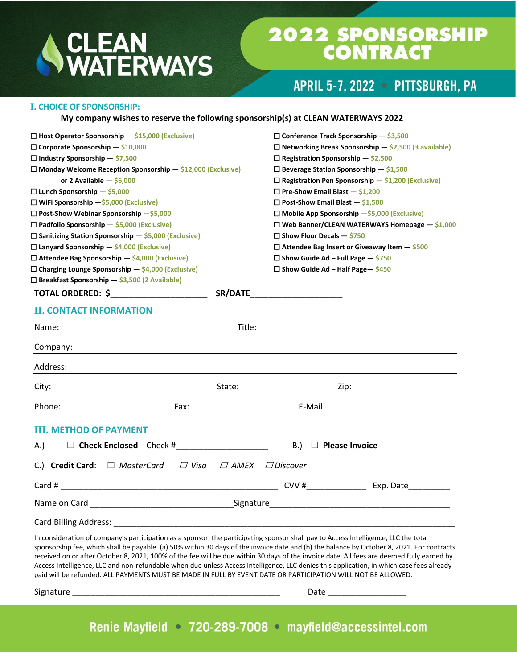# CLEAN<br>WATERWAYS

## **2022 SPONSORSHIP<br>CONTRACT**

APRIL 5-7, 2022 - PITTSBURGH, PA

#### **I. CHOICE OF SPONSORSHIP:**

#### **My company wishes to reserve the following sponsorship(s) at CLEAN WATERWAYS 2022**

| $\Box$ Host Operator Sponsorship $-$ \$15,000 (Exclusive)            |                            | $\Box$ Conference Track Sponsorship $-$ \$3,500               |
|----------------------------------------------------------------------|----------------------------|---------------------------------------------------------------|
| $\Box$ Corporate Sponsorship $-$ \$10,000                            |                            | $\Box$ Networking Break Sponsorship $-$ \$2,500 (3 available) |
| $\Box$ Industry Sponsorship - \$7,500                                |                            | $\Box$ Registration Sponsorship $-$ \$2,500                   |
| $\Box$ Monday Welcome Reception Sponsorship $-$ \$12,000 (Exclusive) |                            | $\Box$ Beverage Station Sponsorship $-$ \$1,500               |
| or 2 Available $-$ \$6,000                                           |                            | $\Box$ Registration Pen Sponsorship $-$ \$1,200 (Exclusive)   |
| $\Box$ Lunch Sponsorship $-$ \$5,000                                 |                            | $\Box$ Pre-Show Email Blast $-$ \$1,200                       |
| $\Box$ WiFi Sponsorship $-\$5,000$ (Exclusive)                       |                            | $\Box$ Post-Show Email Blast $-$ \$1,500                      |
| $\Box$ Post-Show Webinar Sponsorship $-\xi$ 5,000                    |                            | $\Box$ Mobile App Sponsorship $-\xi$ 5,000 (Exclusive)        |
| $\Box$ Padfolio Sponsorship - \$5,000 (Exclusive)                    |                            | $\Box$ Web Banner/CLEAN WATERWAYS Homepage $-$ \$1,000        |
| $\Box$ Sanitizing Station Sponsorship $-$ \$5,000 (Exclusive)        |                            | $\Box$ Show Floor Decals $-$ \$750                            |
| $\Box$ Lanyard Sponsorship $-$ \$4,000 (Exclusive)                   |                            | $\Box$ Attendee Bag Insert or Giveaway Item $-$ \$500         |
| $\Box$ Attendee Bag Sponsorship $-$ \$4,000 (Exclusive)              |                            | $\Box$ Show Guide Ad – Full Page – \$750                      |
| $\Box$ Charging Lounge Sponsorship $-$ \$4,000 (Exclusive)           |                            | $\Box$ Show Guide Ad – Half Page – \$450                      |
| $\Box$ Breakfast Sponsorship - \$3,500 (2 Available)                 |                            |                                                               |
| TOTAL ORDERED: \$                                                    |                            | SR/DATE_______________________                                |
| <b>II. CONTACT INFORMATION</b>                                       |                            |                                                               |
| Name:                                                                | Title:                     |                                                               |
| Company:                                                             |                            |                                                               |
| Address:                                                             |                            |                                                               |
| City:<br><u> 1989 - Johann Barbara, martin a</u>                     | State:                     | Zip:                                                          |
| Phone:                                                               | Fax:                       | E-Mail                                                        |
| <b>III. METHOD OF PAYMENT</b>                                        |                            |                                                               |
| $\Box$ Check Enclosed Check #<br>A.)                                 |                            | B.)<br>$\Box$ Please Invoice                                  |
| C.) Credit Card: $\Box$ MasterCard                                   | $\Box$ Visa<br>$\Box$ amex | $\Box$ Discover                                               |
|                                                                      |                            |                                                               |
|                                                                      |                            |                                                               |
| Card Billing Address: National Property of Billing Address:          |                            |                                                               |
|                                                                      |                            |                                                               |

In consideration of company's participation as a sponsor, the participating sponsor shall pay to Access Intelligence, LLC the total sponsorship fee, which shall be payable. (a) 50% within 30 days of the invoice date and (b) the balance by October 8, 2021. For contracts received on or after October 8, 2021, 100% of the fee will be due within 30 days of the invoice date. All fees are deemed fully earned by Access Intelligence, LLC and non-refundable when due unless Access Intelligence, LLC denies this application, in which case fees already paid will be refunded. ALL PAYMENTS MUST BE MADE IN FULL BY EVENT DATE OR PARTICIPATION WILL NOT BE ALLOWED.

Signature \_\_\_\_\_\_\_\_\_\_\_\_\_\_\_\_\_\_\_\_\_\_\_\_\_\_\_\_\_\_\_\_\_\_\_\_\_\_\_\_\_\_\_\_\_ Date \_\_\_\_\_\_\_\_\_\_\_\_\_\_\_\_\_